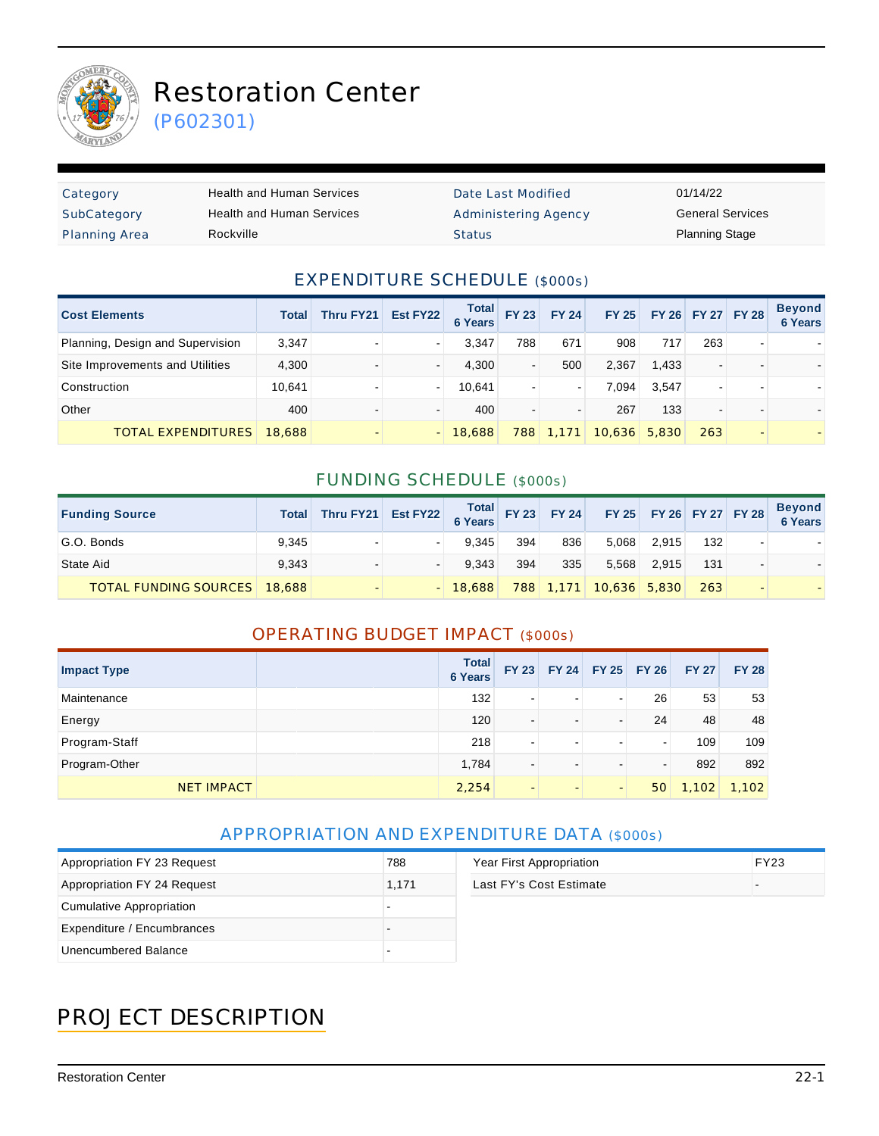

# Restoration Center

(P602301)

| Category             | Health and Human Services | Date Last Modified   | 01/14/22                |
|----------------------|---------------------------|----------------------|-------------------------|
| SubCategory          | Health and Human Services | Administering Agency | <b>General Services</b> |
| <b>Planning Area</b> | Rockville                 | <b>Status</b>        | <b>Planning Stage</b>   |

#### EXPENDITURE SCHEDULE (\$000s)

| <b>Cost Elements</b>             | <b>Total</b> | Thru FY21 | Est FY22 | <b>Total</b><br><b>6 Years</b> | <b>FY 23</b>             | <b>FY 24</b> | FY 25  |       | FY 26 FY 27 FY 28 |   | <b>Beyond</b><br><b>6 Years</b> |
|----------------------------------|--------------|-----------|----------|--------------------------------|--------------------------|--------------|--------|-------|-------------------|---|---------------------------------|
| Planning, Design and Supervision | 3,347        |           |          | 3.347                          | 788                      | 671          | 908    | 717   | 263               | ۰ |                                 |
| Site Improvements and Utilities  | 4,300        |           |          | 4.300                          | $\overline{\phantom{a}}$ | 500          | 2,367  | 1.433 | $\blacksquare$    |   |                                 |
| Construction                     | 10.641       |           |          | 10.641                         | $\overline{\phantom{a}}$ |              | 7.094  | 3,547 | ۰                 |   |                                 |
| Other                            | 400          |           |          | 400                            | $\overline{\phantom{a}}$ |              | 267    | 133   | $\blacksquare$    |   |                                 |
| TOTAL EXPENDITURES               | 18,688       |           |          | 18,688                         | 788                      | 1.171        | 10,636 | 5,830 | 263               |   |                                 |

#### FUNDING SCHEDULE (\$000s)

| <b>Funding Source</b>               | <b>Total</b> | Thru FY21 Est FY22 $\begin{array}{ c c c c c c }\n\hline\n\text{Total} & \text{FY 23} & \text{FY 24} \\ \hline\n6 \text{ Years} & \text{FY 23} & \text{FY 25} & \text{FY 26} & \text{FY 27} & \text{FY 28}\n\hline\n\end{array}$ |        |     |     |                        |       |     |                          | Beyond<br>6 Years |
|-------------------------------------|--------------|----------------------------------------------------------------------------------------------------------------------------------------------------------------------------------------------------------------------------------|--------|-----|-----|------------------------|-------|-----|--------------------------|-------------------|
| G.O. Bonds                          | 9.345        |                                                                                                                                                                                                                                  | 9.345  | 394 | 836 | 5,068                  | 2.915 | 132 | ۰                        |                   |
| State Aid                           | 9.343        |                                                                                                                                                                                                                                  | 9.343  | 394 | 335 | 5.568                  | 2.915 | 131 | $\blacksquare$           |                   |
| <b>TOTAL FUNDING SOURCES</b> 18,688 |              |                                                                                                                                                                                                                                  | 18,688 |     |     | 788 1,171 10,636 5,830 |       | 263 | $\overline{\phantom{0}}$ |                   |

#### OPERATING BUDGET IMPACT (\$000s)

| <b>Impact Type</b> | <b>Total</b><br><b>6 Years</b> | <b>FY 23</b>             |                          |                          | FY 24 FY 25 FY 26 | <b>FY 27</b> | <b>FY 28</b> |
|--------------------|--------------------------------|--------------------------|--------------------------|--------------------------|-------------------|--------------|--------------|
| Maintenance        | 132                            | $\blacksquare$           | -                        | $\blacksquare$           | 26                | 53           | 53           |
| Energy             | 120                            | $\blacksquare$           | $\overline{\phantom{0}}$ | $\overline{\phantom{a}}$ | 24                | 48           | 48           |
| Program-Staff      | 218                            | $\blacksquare$           | -                        | $\,$                     | -                 | 109          | 109          |
| Program-Other      | 1,784                          | -                        | -                        | $\,$                     |                   | 892          | 892          |
| <b>NET IMPACT</b>  | 2,254                          | $\overline{\phantom{a}}$ | $\overline{\phantom{a}}$ | $\overline{a}$           | 50                | 1,102        | 1,102        |

#### APPROPRIATION AND EXPENDITURE DATA (\$000s)

| Appropriation FY 23 Request | 788   | Year First Appropriation | <b>FY23</b> |
|-----------------------------|-------|--------------------------|-------------|
| Appropriation FY 24 Request | 1.171 | Last FY's Cost Estimate  |             |
| Cumulative Appropriation    |       |                          |             |
| Expenditure / Encumbrances  |       |                          |             |
| Unencumbered Balance        |       |                          |             |

## PROJECT DESCRIPTION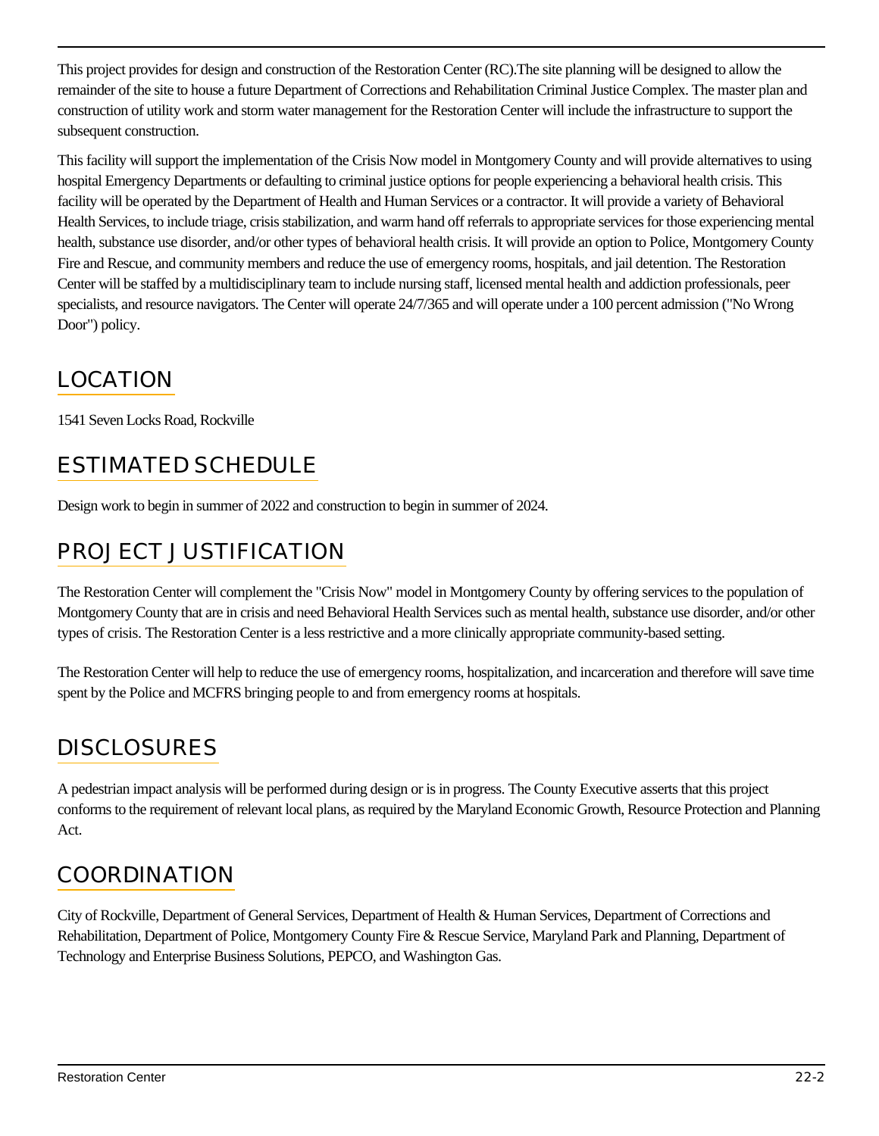This project provides for design and construction of the Restoration Center (RC).The site planning will be designed to allow the remainder of the site to house a future Department of Corrections and Rehabilitation Criminal Justice Complex. The master plan and construction of utility work and storm water management for the Restoration Center will include the infrastructure to support the subsequent construction.

This facility will support the implementation of the Crisis Now model in Montgomery County and will provide alternatives to using hospital Emergency Departments or defaulting to criminal justice options for people experiencing a behavioral health crisis. This facility will be operated by the Department of Health and Human Services or a contractor. It will provide a variety of Behavioral Health Services, to include triage, crisis stabilization, and warm hand off referrals to appropriate services for those experiencing mental health, substance use disorder, and/or other types of behavioral health crisis. It will provide an option to Police, Montgomery County Fire and Rescue, and community members and reduce the use of emergency rooms, hospitals, and jail detention. The Restoration Center will be staffed by a multidisciplinary team to include nursing staff, licensed mental health and addiction professionals, peer specialists, and resource navigators. The Center will operate 24/7/365 and will operate under a 100 percent admission ("No Wrong Door") policy.

## LOCATION

1541 Seven Locks Road, Rockville

## ESTIMATED SCHEDULE

Design work to begin in summer of 2022 and construction to begin in summer of 2024.

## PROJECT JUSTIFICATION

The Restoration Center will complement the "Crisis Now" model in Montgomery County by offering services to the population of Montgomery County that are in crisis and need Behavioral Health Services such as mental health, substance use disorder, and/or other types of crisis. The Restoration Center is a less restrictive and a more clinically appropriate community-based setting.

The Restoration Center will help to reduce the use of emergency rooms, hospitalization, and incarceration and therefore will save time spent by the Police and MCFRS bringing people to and from emergency rooms at hospitals.

## **DISCLOSURES**

A pedestrian impact analysis will be performed during design or is in progress. The County Executive asserts that this project conforms to the requirement of relevant local plans, as required by the Maryland Economic Growth, Resource Protection and Planning Act.

#### COORDINATION

City of Rockville, Department of General Services, Department of Health & Human Services, Department of Corrections and Rehabilitation, Department of Police, Montgomery County Fire & Rescue Service, Maryland Park and Planning, Department of Technology and Enterprise Business Solutions, PEPCO, and Washington Gas.